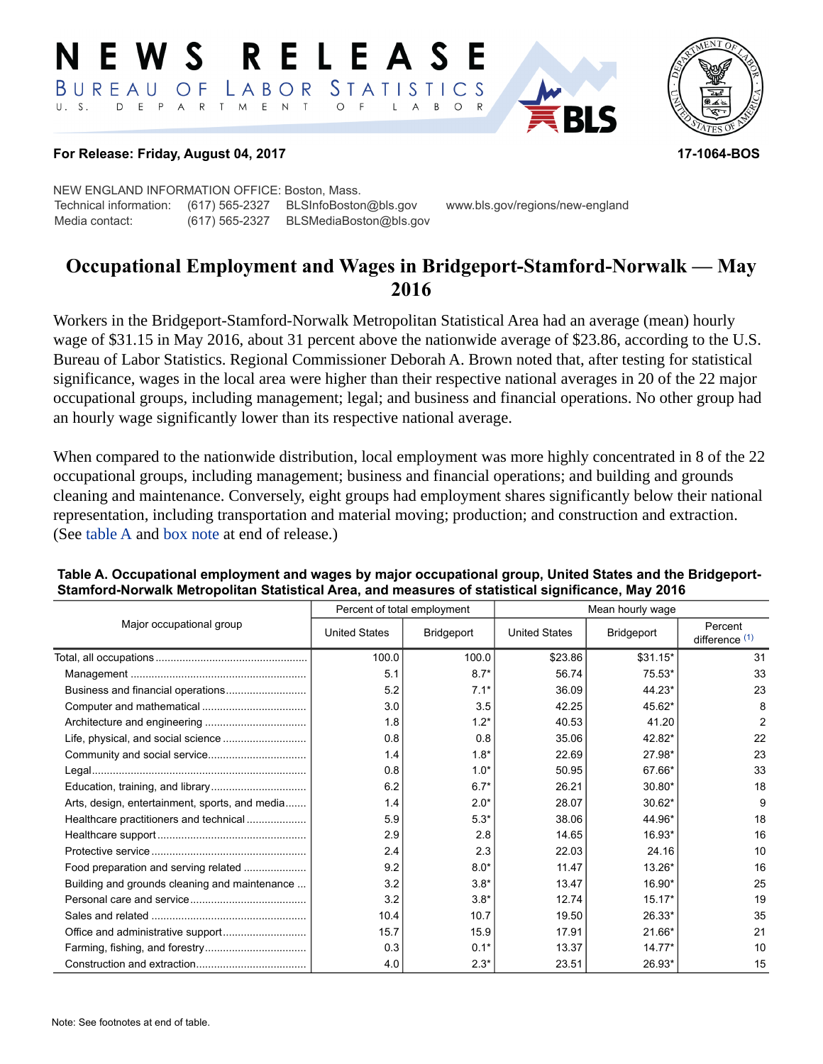#### RELEASE E W S LABOR STATISTICS BUREAU OF D E P A R T M E N T  $\circ$  $U. S.$  $\overline{F}$  $\overline{A}$  $B$  $\circ$  $\mathsf{L}$



#### **For Release: Friday, August 04, 2017 17-1064-BOS**

NEW ENGLAND INFORMATION OFFICE: Boston, Mass. Technical information: (617) 565-2327 BLSInfoBoston@bls.gov www.bls.gov/regions/new-england Media contact: (617) 565-2327 BLSMediaBoston@bls.gov

# **Occupational Employment and Wages in Bridgeport-Stamford-Norwalk — May 2016**

Workers in the Bridgeport-Stamford-Norwalk Metropolitan Statistical Area had an average (mean) hourly wage of \$31.15 in May 2016, about 31 percent above the nationwide average of \$23.86, according to the U.S. Bureau of Labor Statistics. Regional Commissioner Deborah A. Brown noted that, after testing for statistical significance, wages in the local area were higher than their respective national averages in 20 of the 22 major occupational groups, including management; legal; and business and financial operations. No other group had an hourly wage significantly lower than its respective national average.

When compared to the nationwide distribution, local employment was more highly concentrated in 8 of the 22 occupational groups, including management; business and financial operations; and building and grounds cleaning and maintenance. Conversely, eight groups had employment shares significantly below their national representation, including transportation and material moving; production; and construction and extraction. (See table A and [box note](#page-1-0) at end of release.)

|                                                |                      | Percent of total employment | Mean hourly wage     |            |                             |  |
|------------------------------------------------|----------------------|-----------------------------|----------------------|------------|-----------------------------|--|
| Major occupational group                       | <b>United States</b> | Bridgeport                  | <b>United States</b> | Bridgeport | Percent<br>difference $(1)$ |  |
|                                                | 100.0                | 100.0                       | \$23.86              | $$31.15*$  | 31                          |  |
|                                                | 5.1                  | $8.7*$                      | 56.74                | $75.53*$   | 33                          |  |
|                                                | 5.2                  | $7.1*$                      | 36.09                | 44.23*     | 23                          |  |
|                                                | 3.0                  | 3.5                         | 42.25                | 45.62*     | 8                           |  |
|                                                | 1.8                  | $1.2*$                      | 40.53                | 41.20      | $\overline{2}$              |  |
|                                                | 0.8                  | 0.8                         | 35.06                | 42.82*     | 22                          |  |
|                                                | 1.4                  | $1.8*$                      | 22.69                | 27.98*     | 23                          |  |
|                                                | 0.8                  | $1.0*$                      | 50.95                | 67.66*     | 33                          |  |
|                                                | 6.2                  | $6.7*$                      | 26.21                | 30.80*     | 18                          |  |
| Arts, design, entertainment, sports, and media | 1.4                  | $2.0*$                      | 28.07                | 30.62*     | 9                           |  |
| Healthcare practitioners and technical         | 5.9                  | $5.3*$                      | 38.06                | 44.96*     | 18                          |  |
|                                                | 2.9                  | 2.8                         | 14.65                | 16.93*     | 16                          |  |
|                                                | 2.4                  | 2.3                         | 22.03                | 24.16      | 10                          |  |
| Food preparation and serving related           | 9.2                  | $8.0*$                      | 11.47                | 13.26*     | 16                          |  |
| Building and grounds cleaning and maintenance  | 3.2                  | $3.8*$                      | 13.47                | 16.90*     | 25                          |  |
|                                                | 3.2                  | $3.8*$                      | 12.74                | $15.17*$   | 19                          |  |
|                                                | 10.4                 | 10.7                        | 19.50                | 26.33*     | 35                          |  |
|                                                | 15.7                 | 15.9                        | 17.91                | 21.66*     | 21                          |  |
|                                                | 0.3                  | $0.1*$                      | 13.37                | $14.77*$   | 10                          |  |
|                                                | 4.0                  | $2.3*$                      | 23.51                | 26.93*     | 15                          |  |

#### **Table A. Occupational employment and wages by major occupational group, United States and the Bridgeport-Stamford-Norwalk Metropolitan Statistical Area, and measures of statistical significance, May 2016**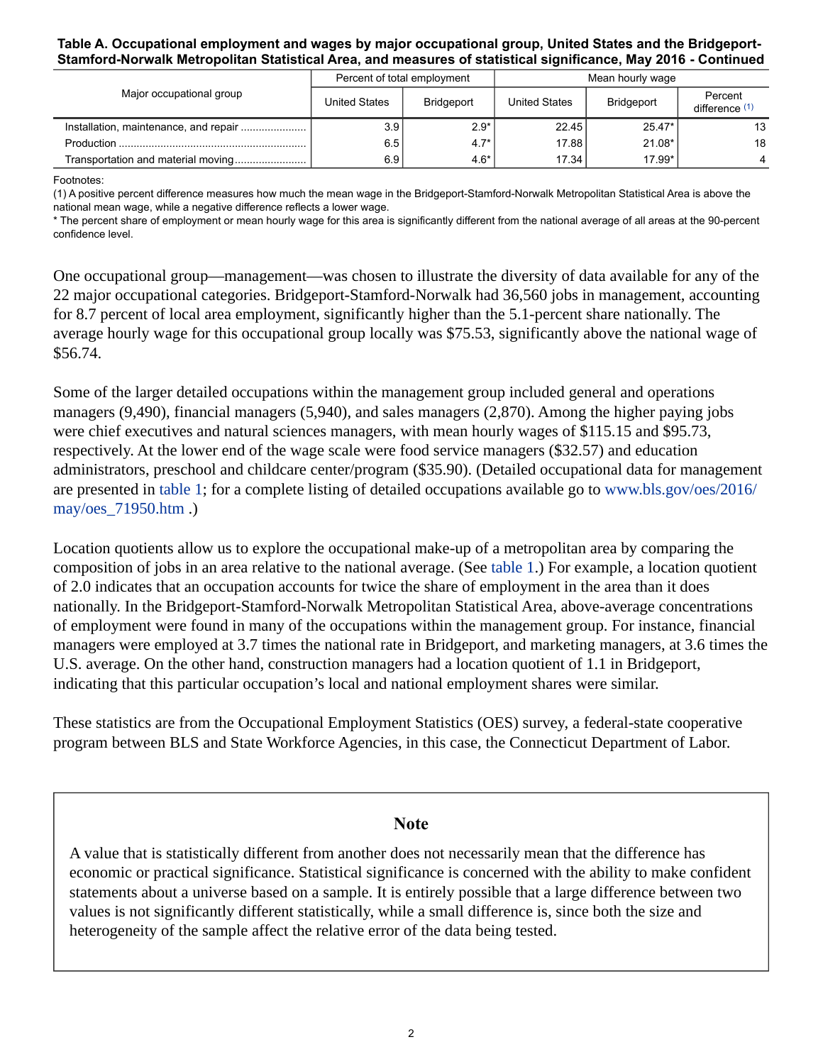#### **Table A. Occupational employment and wages by major occupational group, United States and the Bridgeport-Stamford-Norwalk Metropolitan Statistical Area, and measures of statistical significance, May 2016 - Continued**

| Major occupational group |               | Percent of total employment | Mean hourly wage |            |                           |
|--------------------------|---------------|-----------------------------|------------------|------------|---------------------------|
|                          | United States | <b>Bridgeport</b>           | United States    | Bridgeport | Percent<br>difference (1) |
|                          | 3.9           | $2.9*$                      | 22.45            | $25.47*$   | 13                        |
|                          | 6.5           | $4.7*$                      | 17.88            | $21.08*$   | 18                        |
|                          | 6.9           | $4.6*$                      | 17.34            | 17.99*     |                           |

Footnotes:

<span id="page-1-1"></span>(1) A positive percent difference measures how much the mean wage in the Bridgeport-Stamford-Norwalk Metropolitan Statistical Area is above the national mean wage, while a negative difference reflects a lower wage.

\* The percent share of employment or mean hourly wage for this area is significantly different from the national average of all areas at the 90-percent confidence level.

One occupational group—management—was chosen to illustrate the diversity of data available for any of the 22 major occupational categories. Bridgeport-Stamford-Norwalk had 36,560 jobs in management, accounting for 8.7 percent of local area employment, significantly higher than the 5.1-percent share nationally. The average hourly wage for this occupational group locally was \$75.53, significantly above the national wage of \$56.74.

Some of the larger detailed occupations within the management group included general and operations managers (9,490), financial managers (5,940), and sales managers (2,870). Among the higher paying jobs were chief executives and natural sciences managers, with mean hourly wages of \$115.15 and \$95.73, respectively. At the lower end of the wage scale were food service managers (\$32.57) and education administrators, preschool and childcare center/program (\$35.90). (Detailed occupational data for management are presented in table 1; for a complete listing of detailed occupations available go to [www.bls.gov/oes/2016/](https://www.bls.gov/oes/2016/may/oes_71950.htm) [may/oes\\_71950.htm](https://www.bls.gov/oes/2016/may/oes_71950.htm) .)

Location quotients allow us to explore the occupational make-up of a metropolitan area by comparing the composition of jobs in an area relative to the national average. (See table 1.) For example, a location quotient of 2.0 indicates that an occupation accounts for twice the share of employment in the area than it does nationally. In the Bridgeport-Stamford-Norwalk Metropolitan Statistical Area, above-average concentrations of employment were found in many of the occupations within the management group. For instance, financial managers were employed at 3.7 times the national rate in Bridgeport, and marketing managers, at 3.6 times the U.S. average. On the other hand, construction managers had a location quotient of 1.1 in Bridgeport, indicating that this particular occupation's local and national employment shares were similar.

These statistics are from the Occupational Employment Statistics (OES) survey, a federal-state cooperative program between BLS and State Workforce Agencies, in this case, the Connecticut Department of Labor.

### **Note**

<span id="page-1-0"></span>A value that is statistically different from another does not necessarily mean that the difference has economic or practical significance. Statistical significance is concerned with the ability to make confident statements about a universe based on a sample. It is entirely possible that a large difference between two values is not significantly different statistically, while a small difference is, since both the size and heterogeneity of the sample affect the relative error of the data being tested.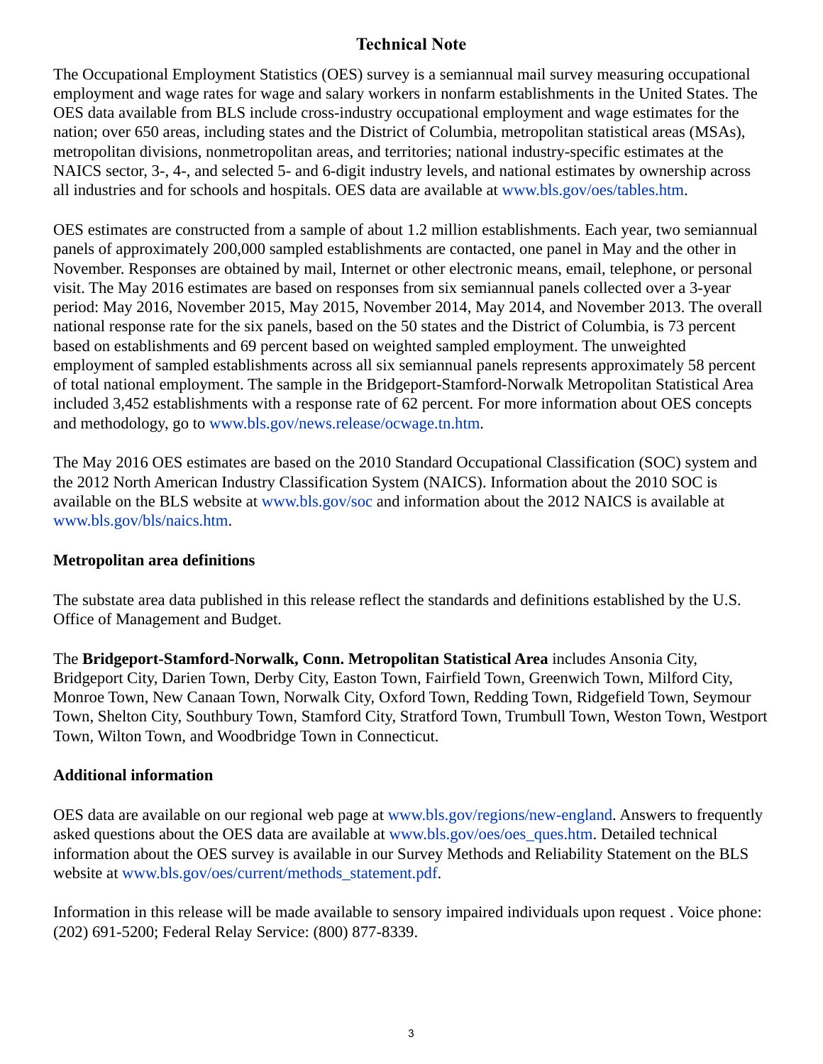# **Technical Note**

The Occupational Employment Statistics (OES) survey is a semiannual mail survey measuring occupational employment and wage rates for wage and salary workers in nonfarm establishments in the United States. The OES data available from BLS include cross-industry occupational employment and wage estimates for the nation; over 650 areas, including states and the District of Columbia, metropolitan statistical areas (MSAs), metropolitan divisions, nonmetropolitan areas, and territories; national industry-specific estimates at the NAICS sector, 3-, 4-, and selected 5- and 6-digit industry levels, and national estimates by ownership across all industries and for schools and hospitals. OES data are available at [www.bls.gov/oes/tables.htm](https://www.bls.gov/oes/tables.htm).

OES estimates are constructed from a sample of about 1.2 million establishments. Each year, two semiannual panels of approximately 200,000 sampled establishments are contacted, one panel in May and the other in November. Responses are obtained by mail, Internet or other electronic means, email, telephone, or personal visit. The May 2016 estimates are based on responses from six semiannual panels collected over a 3-year period: May 2016, November 2015, May 2015, November 2014, May 2014, and November 2013. The overall national response rate for the six panels, based on the 50 states and the District of Columbia, is 73 percent based on establishments and 69 percent based on weighted sampled employment. The unweighted employment of sampled establishments across all six semiannual panels represents approximately 58 percent of total national employment. The sample in the Bridgeport-Stamford-Norwalk Metropolitan Statistical Area included 3,452 establishments with a response rate of 62 percent. For more information about OES concepts and methodology, go to [www.bls.gov/news.release/ocwage.tn.htm](https://www.bls.gov/news.release/ocwage.tn.htm).

The May 2016 OES estimates are based on the 2010 Standard Occupational Classification (SOC) system and the 2012 North American Industry Classification System (NAICS). Information about the 2010 SOC is available on the BLS website at [www.bls.gov/soc](https://www.bls.gov/soc) and information about the 2012 NAICS is available at [www.bls.gov/bls/naics.htm.](https://www.bls.gov/bls/naics.htm)

## **Metropolitan area definitions**

The substate area data published in this release reflect the standards and definitions established by the U.S. Office of Management and Budget.

The **Bridgeport-Stamford-Norwalk, Conn. Metropolitan Statistical Area** includes Ansonia City, Bridgeport City, Darien Town, Derby City, Easton Town, Fairfield Town, Greenwich Town, Milford City, Monroe Town, New Canaan Town, Norwalk City, Oxford Town, Redding Town, Ridgefield Town, Seymour Town, Shelton City, Southbury Town, Stamford City, Stratford Town, Trumbull Town, Weston Town, Westport Town, Wilton Town, and Woodbridge Town in Connecticut.

# **Additional information**

OES data are available on our regional web page at [www.bls.gov/regions/new-england.](https://www.bls.gov/regions/new-england) Answers to frequently asked questions about the OES data are available at [www.bls.gov/oes/oes\\_ques.htm](https://www.bls.gov/oes/oes_ques.htm). Detailed technical information about the OES survey is available in our Survey Methods and Reliability Statement on the BLS website at [www.bls.gov/oes/current/methods\\_statement.pdf.](https://www.bls.gov/oes/current/methods_statement.pdf)

Information in this release will be made available to sensory impaired individuals upon request . Voice phone: (202) 691-5200; Federal Relay Service: (800) 877-8339.